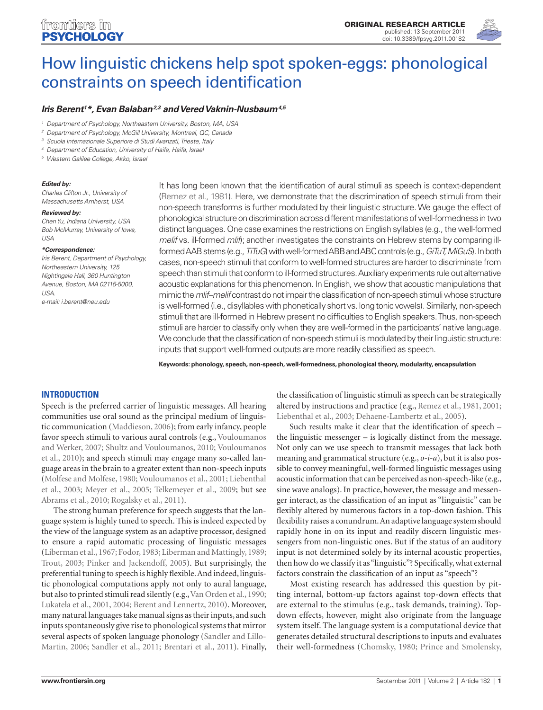

# [How linguistic chickens help spot spoken-eggs: phonological](http://www.frontiersin.org/language_sciences/10.3389/fpsyg.2011.00182/abstract) constraints on speech identification

# *[Iris Berent1](http://www.frontiersin.org/people/irisberent/30518) \*, [Evan Balaban](http://www.frontiersin.org/people/evanbalaban/37197)2,3 and [Vered Vaknin-Nusbaum](http://www.frontiersin.org/people/veredvaknin_nusbaum/31878)4,5*

*<sup>1</sup> Department of Psychology, Northeastern University, Boston, MA, USA*

*<sup>2</sup> Department of Psychology, McGill University, Montreal, QC, Canada*

*<sup>3</sup> Scuola Internazionale Superiore di Studi Avanzati, Trieste, Italy*

*<sup>4</sup> Department of Education, University of Haifa, Haifa, Israel*

*<sup>5</sup> Western Galilee College, Akko, Israel*

#### *Edited by:*

*Charles Clifton Jr., University of Massachusetts Amherst, USA*

#### *Reviewed by:*

*Chen Yu, Indiana University, USA Bob McMurray, University of Iowa, USA*

#### *\*Correspondence:*

*Iris Berent, Department of Psychology, Northeastern University, 125 Nightingale Hall, 360 Huntington Avenue, Boston, MA 02115-5000, USA. e-mail: i.berent@neu.edu*

It has long been known that the identification of aural stimuli as speech is context-dependent (Remez et al., 1981). Here, we demonstrate that the discrimination of speech stimuli from their non-speech transforms is further modulated by their linguistic structure. We gauge the effect of phonological structure on discrimination across different manifestations of well-formedness in two distinct languages. One case examines the restrictions on English syllables (e.g., the well-formed *melif* vs. ill-formed *mlif*); another investigates the constraints on Hebrew stems by comparing illformed AAB stems (e.g., *TiTuG*) with well-formed ABB and ABC controls (e.g., *GiTuT, MiGuS*). In both cases, non-speech stimuli that conform to well-formed structures are harder to discriminate from speech than stimuli that conform to ill-formed structures. Auxiliary experiments rule out alternative acoustic explanations for this phenomenon. In English, we show that acoustic manipulations that mimic the *mlif–melif* contrast do not impair the classification of non-speech stimuli whose structure is well-formed (i.e., disyllables with phonetically short vs. long tonic vowels). Similarly, non-speech stimuli that are ill-formed in Hebrew present no difficulties to English speakers. Thus, non-speech stimuli are harder to classify only when they are well-formed in the participants' native language. We conclude that the classification of non-speech stimuli is modulated by their linguistic structure: inputs that support well-formed outputs are more readily classified as speech.

**Keywords: phonology, speech, non-speech, well-formedness, phonological theory, modularity, encapsulation**

# **Introduction**

Speech is the preferred carrier of linguistic messages. All hearing communities use oral sound as the principal medium of linguistic communication (Maddieson, 2006); from early infancy, people favor speech stimuli to various aural controls (e.g., Vouloumanos and Werker, 2007; Shultz and Vouloumanos, 2010; Vouloumanos et al., 2010); and speech stimuli may engage many so-called language areas in the brain to a greater extent than non-speech inputs (Molfese and Molfese, 1980; Vouloumanos et al., 2001; Liebenthal et al., 2003; Meyer et al., 2005; Telkemeyer et al., 2009; but see Abrams et al., 2010; Rogalsky et al., 2011).

 The strong human preference for speech suggests that the language system is highly tuned to speech. This is indeed expected by the view of the language system as an adaptive processor, designed to ensure a rapid automatic processing of linguistic messages (Liberman et al., 1967; Fodor, 1983; Liberman and Mattingly, 1989; Trout, 2003; Pinker and Jackendoff, 2005). But surprisingly, the preferential tuning to speech is highly flexible. And indeed, linguistic phonological computations apply not only to aural language, but also to printed stimuli read silently (e.g., Van Orden et al., 1990; Lukatela et al., 2001, 2004; Berent and Lennertz, 2010). Moreover, many natural languages take manual signs as their inputs, and such inputs spontaneously give rise to phonological systems that mirror several aspects of spoken language phonology (Sandler and Lillo-Martin, 2006; Sandler et al., 2011; Brentari et al., 2011). Finally,

the classification of linguistic stimuli as speech can be strategically altered by instructions and practice (e.g., Remez et al., 1981, 2001; Liebenthal et al., 2003; Dehaene-Lambertz et al., 2005).

 Such results make it clear that the identification of speech – the linguistic messenger – is logically distinct from the message. Not only can we use speech to transmit messages that lack both meaning and grammatical structure (e.g., *o-i-a*), but it is also possible to convey meaningful, well-formed linguistic messages using acoustic information that can be perceived as non-speech-like (e.g., sine wave analogs). In practice, however, the message and messenger interact, as the classification of an input as "linguistic" can be flexibly altered by numerous factors in a top-down fashion. This flexibility raises a conundrum. An adaptive language system should rapidly hone in on its input and readily discern linguistic messengers from non-linguistic ones. But if the status of an auditory input is not determined solely by its internal acoustic properties, then how do we classify it as "linguistic"? Specifically, what external factors constrain the classification of an input as "speech"?

 Most existing research has addressed this question by pitting internal, bottom-up factors against top-down effects that are external to the stimulus (e.g., task demands, training). Topdown effects, however, might also originate from the language system itself. The language system is a computational device that generates detailed structural descriptions to inputs and evaluates their well-formedness (Chomsky, 1980; Prince and Smolensky,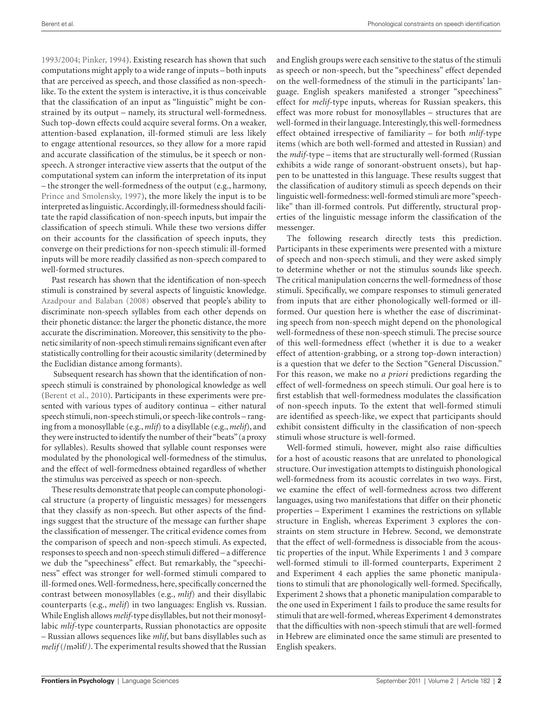1993/2004; Pinker, 1994). Existing research has shown that such computations might apply to a wide range of inputs – both inputs that are perceived as speech, and those classified as non-speechlike. To the extent the system is interactive, it is thus conceivable that the classification of an input as "linguistic" might be constrained by its output – namely, its structural well-formedness. Such top-down effects could acquire several forms. On a weaker, attention-based explanation, ill-formed stimuli are less likely to engage attentional resources, so they allow for a more rapid and accurate classification of the stimulus, be it speech or nonspeech. A stronger interactive view asserts that the output of the computational system can inform the interpretation of its input – the stronger the well-formedness of the output (e.g., harmony, Prince and Smolensky, 1997), the more likely the input is to be interpreted as linguistic. Accordingly, ill-formedness should facilitate the rapid classification of non-speech inputs, but impair the classification of speech stimuli. While these two versions differ on their accounts for the classification of speech inputs, they converge on their predictions for non-speech stimuli: ill-formed inputs will be more readily classified as non-speech compared to well-formed structures.

Past research has shown that the identification of non-speech stimuli is constrained by several aspects of linguistic knowledge. Azadpour and Balaban (2008) observed that people's ability to discriminate non-speech syllables from each other depends on their phonetic distance: the larger the phonetic distance, the more accurate the discrimination. Moreover, this sensitivity to the phonetic similarity of non-speech stimuli remains significant even after statistically controlling for their acoustic similarity (determined by the Euclidian distance among formants).

 Subsequent research has shown that the identification of nonspeech stimuli is constrained by phonological knowledge as well (Berent et al., 2010). Participants in these experiments were presented with various types of auditory continua – either natural speech stimuli, non-speech stimuli, or speech-like controls – ranging from a monosyllable (e.g., *mlif*) to a disyllable (e.g., *melif*), and they were instructed to identify the number of their "beats" (a proxy for syllables). Results showed that syllable count responses were modulated by the phonological well-formedness of the stimulus, and the effect of well-formedness obtained regardless of whether the stimulus was perceived as speech or non-speech.

These results demonstrate that people can compute phonological structure (a property of linguistic messages) for messengers that they classify as non-speech. But other aspects of the findings suggest that the structure of the message can further shape the classification of messenger. The critical evidence comes from the comparison of speech and non-speech stimuli. As expected, responses to speech and non-speech stimuli differed – a difference we dub the "speechiness" effect. But remarkably, the "speechiness" effect was stronger for well-formed stimuli compared to ill-formed ones. Well-formedness, here, specifically concerned the contrast between monosyllables (e.g., *mlif*) and their disyllabic counterparts (e.g., *melif*) in two languages: English vs. Russian. While English allows *melif*-type disyllables, but not their monosyllabic *mlif*-type counterparts, Russian phonotactics are opposite – Russian allows sequences like *mlif*, but bans disyllables such as melif (/malif/). The experimental results showed that the Russian and English groups were each sensitive to the status of the stimuli as speech or non-speech, but the "speechiness" effect depended on the well-formedness of the stimuli in the participants' language. English speakers manifested a stronger "speechiness" effect for *melif*-type inputs, whereas for Russian speakers, this effect was more robust for monosyllables – structures that are well-formed in their language. Interestingly, this well-formedness effect obtained irrespective of familiarity – for both *mlif-*type items (which are both well-formed and attested in Russian) and the *mdif*-type – items that are structurally well-formed (Russian exhibits a wide range of sonorant-obstruent onsets), but happen to be unattested in this language. These results suggest that the classification of auditory stimuli as speech depends on their linguistic well-formedness: well-formed stimuli are more "speechlike" than ill-formed controls. Put differently, structural properties of the linguistic message inform the classification of the messenger.

The following research directly tests this prediction. Participants in these experiments were presented with a mixture of speech and non-speech stimuli, and they were asked simply to determine whether or not the stimulus sounds like speech. The critical manipulation concerns the well-formedness of those stimuli. Specifically, we compare responses to stimuli generated from inputs that are either phonologically well-formed or illformed. Our question here is whether the ease of discriminating speech from non-speech might depend on the phonological well-formedness of these non-speech stimuli. The precise source of this well-formedness effect (whether it is due to a weaker effect of attention-grabbing, or a strong top-down interaction) is a question that we defer to the Section "General Discussion." For this reason, we make no *a priori* predictions regarding the effect of well-formedness on speech stimuli. Our goal here is to first establish that well-formedness modulates the classification of non-speech inputs. To the extent that well-formed stimuli are identified as speech-like, we expect that participants should exhibit consistent difficulty in the classification of non-speech stimuli whose structure is well-formed.

Well-formed stimuli, however, might also raise difficulties for a host of acoustic reasons that are unrelated to phonological structure. Our investigation attempts to distinguish phonological well-formedness from its acoustic correlates in two ways. First, we examine the effect of well-formedness across two different languages, using two manifestations that differ on their phonetic properties – Experiment 1 examines the restrictions on syllable structure in English, whereas Experiment 3 explores the constraints on stem structure in Hebrew. Second, we demonstrate that the effect of well-formedness is dissociable from the acoustic properties of the input. While Experiments 1 and 3 compare well-formed stimuli to ill-formed counterparts, Experiment 2 and Experiment 4 each applies the same phonetic manipulations to stimuli that are phonologically well-formed. Specifically, Experiment 2 shows that a phonetic manipulation comparable to the one used in Experiment 1 fails to produce the same results for stimuli that are well-formed, whereas Experiment 4 demonstrates that the difficulties with non-speech stimuli that are well-formed in Hebrew are eliminated once the same stimuli are presented to English speakers.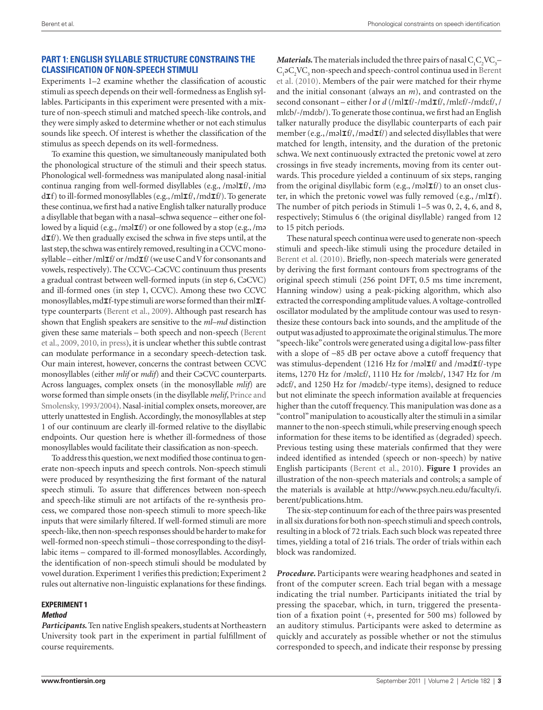# **PART 1: ENGLISH SYLLABLE STRUCTURE CONSTRAINS THE CLASSIFICATION OF NON-SPEECH STIMULI**

Experiments 1–2 examine whether the classification of acoustic stimuli as speech depends on their well-formedness as English syllables. Participants in this experiment were presented with a mixture of non-speech stimuli and matched speech-like controls, and they were simply asked to determine whether or not each stimulus sounds like speech. Of interest is whether the classification of the stimulus as speech depends on its well-formedness.

To examine this question, we simultaneously manipulated both the phonological structure of the stimuli and their speech status. Phonological well-formedness was manipulated along nasal-initial continua ranging from well-formed disyllables (e.g., /mal**I**f/, /ma d**I**f) to ill-formed monosyllables (e.g., /ml**I**f/, /md**I**f/). To generate these continua, we first had a native English talker naturally produce a disyllable that began with a nasal–schwa sequence – either one followed by a liquid (e.g., /məl**ɪ**f/) or one followed by a stop (e.g., /mə d**I**f/). We then gradually excised the schwa in five steps until, at the last step, the schwa was entirely removed, resulting in a CCVC monosyllable – either /ml**I**f/ or /md**I**f/ (we use C and V for consonants and vowels, respectively). The CCVC-CaCVC continuum thus presents a gradual contrast between well-formed inputs (in step 6, CaCVC) and ill-formed ones (in step 1, CCVC). Among these two CCVC monosyllables, md**I**f*-*type stimuli are worse formed than their ml**I**ftype counterparts (Berent et al., 2009). Although past research has shown that English speakers are sensitive to the *ml–md* distinction given these same materials – both speech and non-speech (Berent et al., 2009, 2010, in press), it is unclear whether this subtle contrast can modulate performance in a secondary speech-detection task. Our main interest, however, concerns the contrast between CCVC monosyllables (either *mlif* or *mdif*) and their CaCVC counterparts. Across languages, complex onsets (in the monosyllable *mlif*) are worse formed than simple onsets (in the disyllable *melif*, Prince and Smolensky, 1993/2004). Nasal-initial complex onsets, moreover, are utterly unattested in English. Accordingly, the monosyllables at step 1 of our continuum are clearly ill-formed relative to the disyllabic endpoints. Our question here is whether ill-formedness of those monosyllables would facilitate their classification as non-speech.

To address this question, we next modified those continua to generate non-speech inputs and speech controls. Non-speech stimuli were produced by resynthesizing the first formant of the natural speech stimuli. To assure that differences between non-speech and speech-like stimuli are not artifacts of the re-synthesis process, we compared those non-speech stimuli to more speech-like inputs that were similarly filtered. If well-formed stimuli are more speech-like, then non-speech responses should be harder to make for well-formed non-speech stimuli – those corresponding to the disyllabic items – compared to ill-formed monosyllables. Accordingly, the identification of non-speech stimuli should be modulated by vowel duration. Experiment 1 verifies this prediction; Experiment 2 rules out alternative non-linguistic explanations for these findings.

# **Experiment 1**

# *Method*

*Participants.* Ten native English speakers, students at Northeastern University took part in the experiment in partial fulfillment of course requirements.

*Materials.* The materials included the three pairs of nasal  $C_1C_2VC_3$  $C_1$ ə $C_2$ V $C_3$  non-speech and speech-control continua used in Berent et al. (2010). Members of the pair were matched for their rhyme and the initial consonant (always an *m*), and contrasted on the second consonant – either *l* or *d* (/ml**I**f/-/md**I**f/, /mlεf/-/mdεf/, / mlεb/-/mdεb/). To generate those continua, we first had an English talker naturally produce the disyllabic counterparts of each pair member (e.g.,/məl**I**f/,/məd**I**f/) and selected disyllables that were matched for length, intensity, and the duration of the pretonic schwa. We next continuously extracted the pretonic vowel at zero crossings in five steady increments, moving from its center outwards. This procedure yielded a continuum of six steps, ranging from the original disyllabic form (e.g., /mal**1**f/) to an onset cluster, in which the pretonic vowel was fully removed (e.g., /ml**I**f). The number of pitch periods in Stimuli 1–5 was 0, 2, 4, 6, and 8, respectively; Stimulus 6 (the original disyllable) ranged from 12 to 15 pitch periods.

These natural speech continua were used to generate non-speech stimuli and speech-like stimuli using the procedure detailed in Berent et al. (2010). Briefly, non-speech materials were generated by deriving the first formant contours from spectrograms of the original speech stimuli (256 point DFT, 0.5 ms time increment, Hanning window) using a peak-picking algorithm, which also extracted the corresponding amplitude values. A voltage-controlled oscillator modulated by the amplitude contour was used to resynthesize these contours back into sounds, and the amplitude of the output was adjusted to approximate the original stimulus. The more "speech-like" controls were generated using a digital low-pass filter with a slope of −85 dB per octave above a cutoff frequency that was stimulus-dependent (1216 Hz for /mal**I**f/ and /mad**I**f/-type items, 1270 Hz for /malɛf/, 1110 Hz for /malɛb/, 1347 Hz for /m adef/, and 1250 Hz for /madeb/-type items), designed to reduce but not eliminate the speech information available at frequencies higher than the cutoff frequency. This manipulation was done as a "control" manipulation to acoustically alter the stimuli in a similar manner to the non-speech stimuli, while preserving enough speech information for these items to be identified as (degraded) speech. Previous testing using these materials confirmed that they were indeed identified as intended (speech or non-speech) by native English participants (Berent et al., 2010). **Figure 1** provides an illustration of the non-speech materials and controls; a sample of the materials is available at http://www.psych.neu.edu/faculty/i. berent/publications.htm.

The six-step continuum for each of the three pairs was presented in all six durations for both non-speech stimuli and speech controls, resulting in a block of 72 trials. Each such block was repeated three times, yielding a total of 216 trials. The order of trials within each block was randomized.

*Procedure.* Participants were wearing headphones and seated in front of the computer screen. Each trial began with a message indicating the trial number. Participants initiated the trial by pressing the spacebar, which, in turn, triggered the presentation of a fixation point (+, presented for 500 ms) followed by an auditory stimulus. Participants were asked to determine as quickly and accurately as possible whether or not the stimulus corresponded to speech, and indicate their response by pressing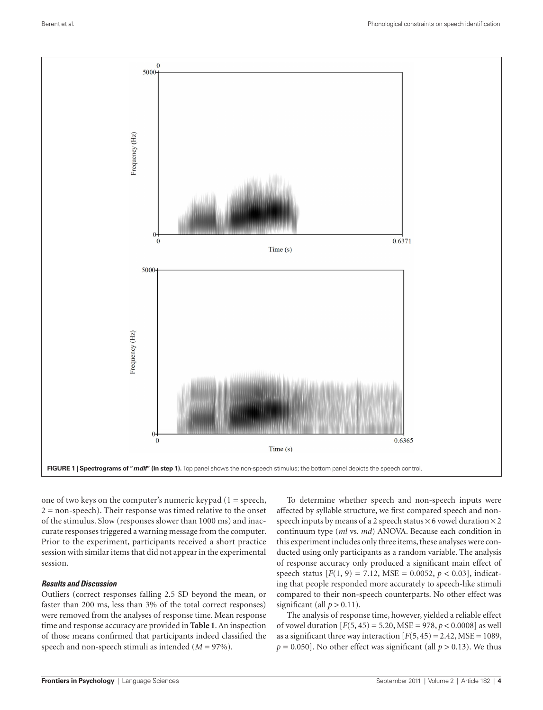

one of two keys on the computer's numeric keypad  $(1 = \text{speed},$  $2 =$  non-speech). Their response was timed relative to the onset of the stimulus. Slow (responses slower than 1000 ms) and inaccurate responses triggered a warning message from the computer. Prior to the experiment, participants received a short practice session with similar items that did not appear in the experimental session.

# *Results and Discussion*

Outliers (correct responses falling 2.5 SD beyond the mean, or faster than 200 ms, less than 3% of the total correct responses) were removed from the analyses of response time. Mean response time and response accuracy are provided in **Table 1**. An inspection of those means confirmed that participants indeed classified the speech and non-speech stimuli as intended (*M* = 97%).

To determine whether speech and non-speech inputs were affected by syllable structure, we first compared speech and nonspeech inputs by means of a 2 speech status  $\times$  6 vowel duration  $\times$  2 continuum type (*ml* vs. *md*) ANOVA. Because each condition in this experiment includes only three items, these analyses were conducted using only participants as a random variable. The analysis of response accuracy only produced a significant main effect of speech status  $[F(1, 9) = 7.12, \text{MSE} = 0.0052, p < 0.03]$ , indicating that people responded more accurately to speech-like stimuli compared to their non-speech counterparts. No other effect was significant (all  $p > 0.11$ ).

The analysis of response time, however, yielded a reliable effect of vowel duration [*F*(5, 45) = 5.20, MSE = 978, *p* < 0.0008] as well as a significant three way interaction  $[F(5, 45) = 2.42, \text{MSE} = 1089,$  $p = 0.050$ . No other effect was significant (all  $p > 0.13$ ). We thus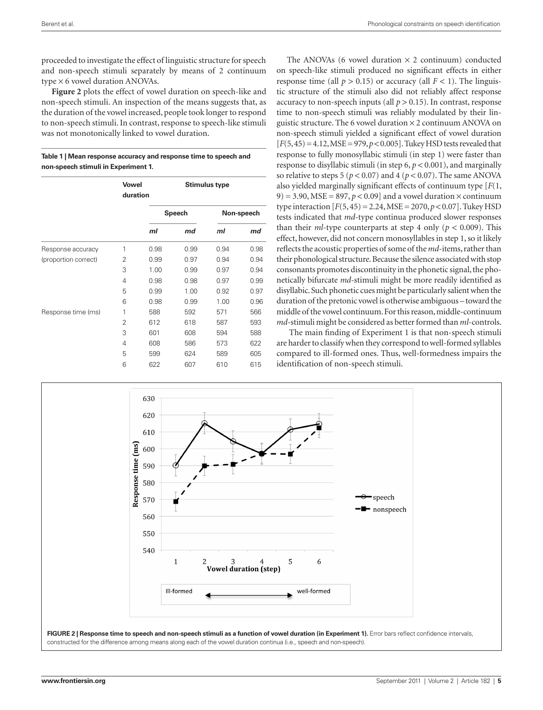proceeded to investigate the effect of linguistic structure for speech and non-speech stimuli separately by means of 2 continuum type × 6 vowel duration ANOVAs.

**Figure 2** plots the effect of vowel duration on speech-like and non-speech stimuli. An inspection of the means suggests that, as the duration of the vowel increased, people took longer to respond to non-speech stimuli. In contrast, response to speech-like stimuli was not monotonically linked to vowel duration.

| Table 1   Mean response accuracy and response time to speech and |
|------------------------------------------------------------------|
| non-speech stimuli in Experiment 1.                              |

|                      | <b>Vowel</b><br>duration | <b>Stimulus type</b> |        |      |            |
|----------------------|--------------------------|----------------------|--------|------|------------|
|                      |                          |                      | Speech |      | Non-speech |
|                      |                          | ml                   | md     | ml   | md         |
| Response accuracy    | 1                        | 0.98                 | 0.99   | 0.94 | 0.98       |
| (proportion correct) | 2                        | 0.99                 | 0.97   | 0.94 | 0.94       |
|                      | 3                        | 1.00                 | 0.99   | 0.97 | 0.94       |
|                      | 4                        | 0.98                 | 0.98   | 0.97 | 0.99       |
|                      | 5                        | 0.99                 | 1.00   | 0.92 | 0.97       |
|                      | 6                        | 0.98                 | 0.99   | 1.00 | 0.96       |
| Response time (ms)   | 1                        | 588                  | 592    | 571  | 566        |
|                      | $\overline{2}$           | 612                  | 618    | 587  | 593        |
|                      | 3                        | 601                  | 608    | 594  | 588        |
|                      | 4                        | 608                  | 586    | 573  | 622        |
|                      | 5                        | 599                  | 624    | 589  | 605        |
|                      | 6                        | 622                  | 607    | 610  | 615        |

The ANOVAs (6 vowel duration  $\times$  2 continuum) conducted on speech-like stimuli produced no significant effects in either response time (all  $p > 0.15$ ) or accuracy (all  $F < 1$ ). The linguistic structure of the stimuli also did not reliably affect response accuracy to non-speech inputs (all  $p > 0.15$ ). In contrast, response time to non-speech stimuli was reliably modulated by their linguistic structure. The 6 vowel duration  $\times$  2 continuum ANOVA on non-speech stimuli yielded a significant effect of vowel duration  $[F(5, 45) = 4.12, \text{MSE} = 979, p < 0.005]$ . Tukey HSD tests revealed that response to fully monosyllabic stimuli (in step 1) were faster than response to disyllabic stimuli (in step 6, *p* < 0.001), and marginally so relative to steps 5 ( $p < 0.07$ ) and 4 ( $p < 0.07$ ). The same ANOVA also yielded marginally significant effects of continuum type [*F*(1,  $9$ ) = 3.90, MSE = 897,  $p < 0.09$ ] and a vowel duration  $\times$  continuum type interaction  $[F(5, 45) = 2.24, \text{MSE} = 2070, p < 0.07]$ . Tukey HSD tests indicated that *md*-type continua produced slower responses than their  $ml$ -type counterparts at step 4 only ( $p < 0.009$ ). This effect, however, did not concern monosyllables in step 1, so it likely reflects the acoustic properties of some of the *md*-items, rather than their phonological structure. Because the silence associated with stop consonants promotes discontinuity in the phonetic signal, the phonetically bifurcate *md*-stimuli might be more readily identified as disyllabic. Such phonetic cues might be particularly salient when the duration of the pretonic vowel is otherwise ambiguous – toward the middle of the vowel continuum. For this reason, middle-continuum *md-*stimuli might be considered as better formed than *ml*-controls.

 The main finding of Experiment 1 is that non-speech stimuli are harder to classify when they correspond to well-formed syllables compared to ill-formed ones. Thus, well-formedness impairs the identification of non-speech stimuli.

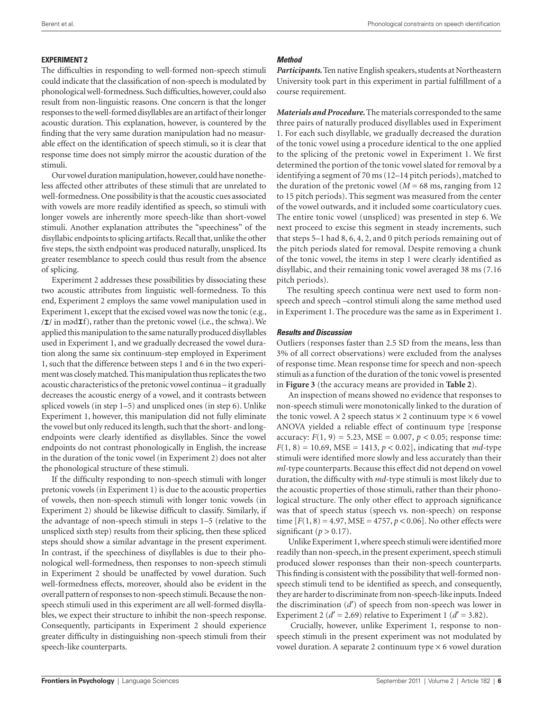#### **Experiment 2**

The difficulties in responding to well-formed non-speech stimuli could indicate that the classification of non-speech is modulated by phonological well-formedness. Such difficulties, however, could also result from non-linguistic reasons. One concern is that the longer responses to the well-formed disyllables are an artifact of their longer acoustic duration. This explanation, however, is countered by the finding that the very same duration manipulation had no measurable effect on the identification of speech stimuli, so it is clear that response time does not simply mirror the acoustic duration of the stimuli.

Our vowel duration manipulation, however, could have nonetheless affected other attributes of these stimuli that are unrelated to well-formedness. One possibility is that the acoustic cues associated with vowels are more readily identified as speech, so stimuli with longer vowels are inherently more speech-like than short-vowel stimuli. Another explanation attributes the "speechiness" of the disyllabic endpoints to splicing artifacts. Recall that, unlike the other five steps, the sixth endpoint was produced naturally, unspliced. Its greater resemblance to speech could thus result from the absence of splicing.

Experiment 2 addresses these possibilities by dissociating these two acoustic attributes from linguistic well-formedness. To this end, Experiment 2 employs the same vowel manipulation used in Experiment 1, except that the excised vowel was now the tonic (e.g., **I** in mad**I**f), rather than the pretonic vowel (i.e., the schwa). We applied this manipulation to the same naturally produced disyllables used in Experiment 1, and we gradually decreased the vowel duration along the same six continuum-step employed in Experiment 1, such that the difference between steps 1 and 6 in the two experiment was closely matched. This manipulation thus replicates the two acoustic characteristics of the pretonic vowel continua – it gradually decreases the acoustic energy of a vowel, and it contrasts between spliced vowels (in step 1–5) and unspliced ones (in step 6). Unlike Experiment 1, however, this manipulation did not fully eliminate the vowel but only reduced its length, such that the short- and longendpoints were clearly identified as disyllables. Since the vowel endpoints do not contrast phonologically in English, the increase in the duration of the tonic vowel (in Experiment 2) does not alter the phonological structure of these stimuli.

If the difficulty responding to non-speech stimuli with longer pretonic vowels (in Experiment 1) is due to the acoustic properties of vowels, then non-speech stimuli with longer tonic vowels (in Experiment 2) should be likewise difficult to classify. Similarly, if the advantage of non-speech stimuli in steps 1–5 (relative to the unspliced sixth step) results from their splicing, then these spliced steps should show a similar advantage in the present experiment. In contrast, if the speechiness of disyllables is due to their phonological well-formedness, then responses to non-speech stimuli in Experiment 2 should be unaffected by vowel duration. Such well-formedness effects, moreover, should also be evident in the overall pattern of responses to non-speech stimuli. Because the nonspeech stimuli used in this experiment are all well-formed disyllables, we expect their structure to inhibit the non-speech response. Consequently, participants in Experiment 2 should experience greater difficulty in distinguishing non-speech stimuli from their speech-like counterparts.

#### *Method*

*Participants.* Ten native English speakers, students at Northeastern University took part in this experiment in partial fulfillment of a course requirement.

*Materials and Procedure.* The materials corresponded to the same three pairs of naturally produced disyllables used in Experiment 1. For each such disyllable, we gradually decreased the duration of the tonic vowel using a procedure identical to the one applied to the splicing of the pretonic vowel in Experiment 1. We first determined the portion of the tonic vowel slated for removal by a identifying a segment of 70 ms (12–14 pitch periods), matched to the duration of the pretonic vowel ( $M = 68$  ms, ranging from 12 to 15 pitch periods). This segment was measured from the center of the vowel outwards, and it included some coarticulatory cues. The entire tonic vowel (unspliced) was presented in step 6. We next proceed to excise this segment in steady increments, such that steps 5–1 had 8, 6, 4, 2, and 0 pitch periods remaining out of the pitch periods slated for removal. Despite removing a chunk of the tonic vowel, the items in step 1 were clearly identified as disyllabic, and their remaining tonic vowel averaged 38 ms (7.16 pitch periods).

The resulting speech continua were next used to form nonspeech and speech –control stimuli along the same method used in Experiment 1. The procedure was the same as in Experiment 1.

### *Results and Discussion*

Outliers (responses faster than 2.5 SD from the means, less than 3% of all correct observations) were excluded from the analyses of response time. Mean response time for speech and non-speech stimuli as a function of the duration of the tonic vowel is presented in **Figure 3** (the accuracy means are provided in **Table 2**).

 An inspection of means showed no evidence that responses to non-speech stimuli were monotonically linked to the duration of the tonic vowel. A 2 speech status  $\times$  2 continuum type  $\times$  6 vowel ANOVA yielded a reliable effect of continuum type [response accuracy:  $F(1, 9) = 5.23$ , MSE = 0.007,  $p < 0.05$ ; response time:  $F(1, 8) = 10.69$ , MSE = 1413,  $p < 0.02$ ], indicating that *md*-type stimuli were identified more slowly and less accurately than their *ml*-type counterparts. Because this effect did not depend on vowel duration, the difficulty with *md*-type stimuli is most likely due to the acoustic properties of those stimuli, rather than their phonological structure. The only other effect to approach significance was that of speech status (speech vs. non-speech) on response time  $[F(1, 8) = 4.97, \text{MSE} = 4757, p < 0.06]$ . No other effects were significant  $(p > 0.17)$ .

 Unlike Experiment 1, where speech stimuli were identified more readily than non-speech, in the present experiment, speech stimuli produced slower responses than their non-speech counterparts. This finding is consistent with the possibility that well-formed nonspeech stimuli tend to be identified as speech, and consequently, they are harder to discriminate from non-speech-like inputs. Indeed the discrimination (*d*′) of speech from non-speech was lower in Experiment 2 ( $d' = 2.69$ ) relative to Experiment 1 ( $d' = 3.82$ ).

 Crucially, however, unlike Experiment 1, response to nonspeech stimuli in the present experiment was not modulated by vowel duration. A separate 2 continuum type  $\times$  6 vowel duration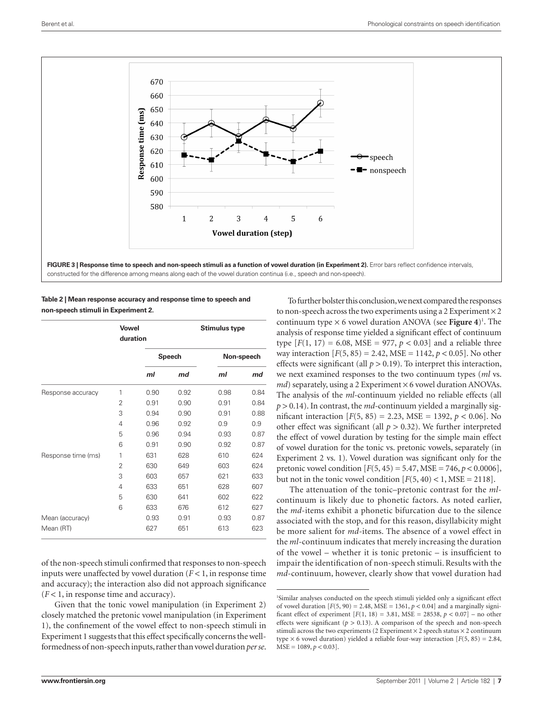

#### **Table 2 | Mean response accuracy and response time to speech and non-speech stimuli in Experiment 2.**

|                    | <b>Vowel</b><br>duration | <b>Stimulus type</b> |               |            |      |
|--------------------|--------------------------|----------------------|---------------|------------|------|
|                    |                          |                      | <b>Speech</b> | Non-speech |      |
|                    |                          | ml                   | md            | ml         | md   |
| Response accuracy  | 1                        | 0.90                 | 0.92          | 0.98       | 0.84 |
|                    | 2                        | 0.91                 | 0.90          | 0.91       | 0.84 |
|                    | 3                        | 0.94                 | 0.90          | 0.91       | 0.88 |
|                    | 4                        | 0.96                 | 0.92          | 0.9        | 0.9  |
|                    | 5                        | 0.96                 | 0.94          | 0.93       | 0.87 |
|                    | 6                        | 0.91                 | 0.90          | 0.92       | 0.87 |
| Response time (ms) | 1                        | 631                  | 628           | 610        | 624  |
|                    | $\overline{2}$           | 630                  | 649           | 603        | 624  |
|                    | 3                        | 603                  | 657           | 621        | 633  |
|                    | 4                        | 633                  | 651           | 628        | 607  |
|                    | 5                        | 630                  | 641           | 602        | 622  |
|                    | 6                        | 633                  | 676           | 612        | 627  |
| Mean (accuracy)    |                          | 0.93                 | 0.91          | 0.93       | 0.87 |
| Mean (RT)          |                          | 627                  | 651           | 613        | 623  |

of the non-speech stimuli confirmed that responses to non-speech inputs were unaffected by vowel duration  $(F < 1)$ , in response time and accuracy); the interaction also did not approach significance  $(F < 1$ , in response time and accuracy).

 Given that the tonic vowel manipulation (in Experiment 2) closely matched the pretonic vowel manipulation (in Experiment 1), the confinement of the vowel effect to non-speech stimuli in Experiment 1 suggests that this effect specifically concerns the wellformedness of non-speech inputs, rather than vowel duration *per se*.

 To further bolster this conclusion, we next compared the responses to non-speech across the two experiments using a 2 Experiment  $\times$  2 continuum type  $\times$  6 vowel duration ANOVA (see **Figure** 4)<sup>1</sup>. The analysis of response time yielded a significant effect of continuum type  $[F(1, 17) = 6.08, \text{MSE} = 977, p < 0.03]$  and a reliable three way interaction  $[F(5, 85) = 2.42, \text{MSE} = 1142, p < 0.05]$ . No other effects were significant (all  $p > 0.19$ ). To interpret this interaction, we next examined responses to the two continuum types (*ml* vs.  $md$ ) separately, using a 2 Experiment  $\times$  6 vowel duration ANOVAs. The analysis of the *ml*-continuum yielded no reliable effects (all  $p > 0.14$ ). In contrast, the *md*-continuum yielded a marginally significant interaction [*F*(5, 85) = 2.23, MSE = 1392, *p* < 0.06]. No other effect was significant (all  $p > 0.32$ ). We further interpreted the effect of vowel duration by testing for the simple main effect of vowel duration for the tonic vs. pretonic vowels, separately (in Experiment 2 vs. 1). Vowel duration was significant only for the pretonic vowel condition [*F*(5, 45) = 5.47, MSE = 746, *p* < 0.0006], but not in the tonic vowel condition  $[F(5, 40) < 1, \text{MSE} = 2118]$ .

 The attenuation of the tonic–pretonic contrast for the *ml*continuum is likely due to phonetic factors. As noted earlier, the *md*-items exhibit a phonetic bifurcation due to the silence associated with the stop, and for this reason, disyllabicity might be more salient for *md-*items. The absence of a vowel effect in the *ml-*continuum indicates that merely increasing the duration of the vowel – whether it is tonic pretonic – is insufficient to impair the identification of non-speech stimuli. Results with the *md-*continuum, however, clearly show that vowel duration had

<sup>1</sup> Similar analyses conducted on the speech stimuli yielded only a significant effect of vowel duration  $[F(5, 90) = 2.48, \text{MSE} = 1361, p < 0.04]$  and a marginally significant effect of experiment  $[F(1, 18) = 3.81, \text{MSE} = 28538, p < 0.07]$  – no other effects were significant ( $p > 0.13$ ). A comparison of the speech and non-speech stimuli across the two experiments (2 Experiment  $\times$  2 speech status  $\times$  2 continuum type  $\times$  6 vowel duration) yielded a reliable four-way interaction [ $F(5, 85) = 2.84$ ,  $MSE = 1089, p < 0.03$ .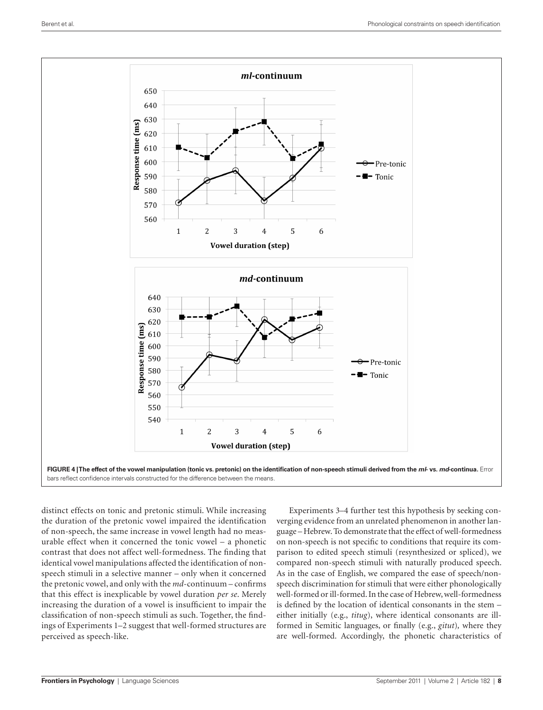

bars reflect confidence intervals constructed for the difference between the means.

distinct effects on tonic and pretonic stimuli. While increasing the duration of the pretonic vowel impaired the identification of non-speech, the same increase in vowel length had no measurable effect when it concerned the tonic vowel – a phonetic contrast that does not affect well-formedness. The finding that identical vowel manipulations affected the identification of nonspeech stimuli in a selective manner – only when it concerned the pretonic vowel, and only with the *md*-continuum – confirms that this effect is inexplicable by vowel duration *per se*. Merely increasing the duration of a vowel is insufficient to impair the classification of non-speech stimuli as such. Together, the findings of Experiments 1–2 suggest that well-formed structures are perceived as speech-like.

 Experiments 3–4 further test this hypothesis by seeking converging evidence from an unrelated phenomenon in another language – Hebrew. To demonstrate that the effect of well-formedness on non-speech is not specific to conditions that require its comparison to edited speech stimuli (resynthesized or spliced), we compared non-speech stimuli with naturally produced speech. As in the case of English, we compared the ease of speech/nonspeech discrimination for stimuli that were either phonologically well-formed or ill-formed. In the case of Hebrew, well-formedness is defined by the location of identical consonants in the stem – either initially (e.g., *titug*), where identical consonants are illformed in Semitic languages, or finally (e.g., *gitut*)*,* where they are well-formed. Accordingly, the phonetic characteristics of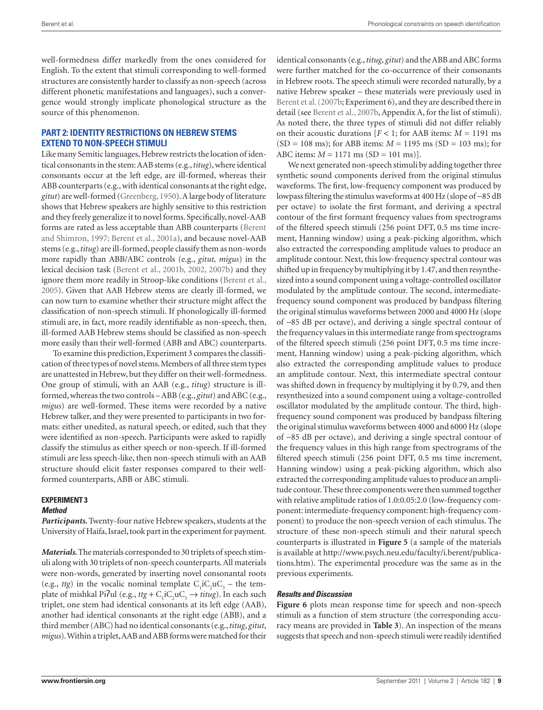well-formedness differ markedly from the ones considered for English. To the extent that stimuli corresponding to well-formed structures are consistently harder to classify as non-speech (across different phonetic manifestations and languages), such a convergence would strongly implicate phonological structure as the source of this phenomenon.

# **PART 2: IDENTITY RESTRICTIONS ON HEBREW STEMS EXTEND TO NON-SPEECH STIMULI**

Like many Semitic languages, Hebrew restricts the location of identical consonants in the stem: AAB stems (e.g., *titug*), where identical consonants occur at the left edge, are ill-formed, whereas their ABB counterparts (e.g., with identical consonants at the right edge, *gitut*) are well-formed (Greenberg, 1950). A large body of literature shows that Hebrew speakers are highly sensitive to this restriction and they freely generalize it to novel forms. Specifically, novel-AAB forms are rated as less acceptable than ABB counterparts (Berent and Shimron, 1997; Berent et al., 2001a), and because novel-AAB stems (e.g., *titug*) are ill-formed, people classify them as non-words more rapidly than ABB/ABC controls (e.g., *gitut, migus*) in the lexical decision task (Berent et al., 2001b, 2002, 2007b) and they ignore them more readily in Stroop-like conditions (Berent et al., 2005). Given that AAB Hebrew stems are clearly ill-formed, we can now turn to examine whether their structure might affect the classification of non-speech stimuli. If phonologically ill-formed stimuli are, in fact, more readily identifiable as non-speech, then, ill-formed AAB Hebrew stems should be classified as non-speech more easily than their well-formed (ABB and ABC) counterparts.

 To examine this prediction, Experiment 3 compares the classification of three types of novel stems. Members of all three stem types are unattested in Hebrew, but they differ on their well-formedness. One group of stimuli, with an AAB (e.g., *titug*) structure is illformed, whereas the two controls – ABB (e.g., *gitut*) and ABC (e.g., *migus*) are well-formed. These items were recorded by a native Hebrew talker, and they were presented to participants in two formats: either unedited, as natural speech, or edited, such that they were identified as non-speech. Participants were asked to rapidly classify the stimulus as either speech or non-speech. If ill-formed stimuli are less speech-like, then non-speech stimuli with an AAB structure should elicit faster responses compared to their wellformed counterparts, ABB or ABC stimuli.

#### **Experiment 3**

#### *Method*

*Participants.* Twenty-four native Hebrew speakers, students at the University of Haifa, Israel, took part in the experiment for payment.

*Materials.* The materials corresponded to 30 triplets of speech stimuli along with 30 triplets of non-speech counterparts. All materials were non-words, generated by inserting novel consonantal roots (e.g., *ttg*) in the vocalic nominal template  $C_1$ i $C_2$ u $C_3$  – the template of mishkal Piʔul (e.g., *ttg* + C<sub>1</sub>iC<sub>2</sub>uC<sub>3</sub> → *titug*). In each such triplet, one stem had identical consonants at its left edge (AAB), another had identical consonants at the right edge (ABB), and a third member (ABC) had no identical consonants (e.g., *titug*, *gitut*, *migus*). Within a triplet, AAB and ABB forms were matched for their

identical consonants (e.g., *titug*, *gitut*) and the ABB and ABC forms were further matched for the co-occurrence of their consonants in Hebrew roots. The speech stimuli were recorded naturally, by a native Hebrew speaker – these materials were previously used in Berent et al. (2007b; Experiment 6), and they are described there in detail (see Berent et al., 2007b, Appendix A, for the list of stimuli). As noted there, the three types of stimuli did not differ reliably on their acoustic durations  $[F < 1$ ; for AAB items:  $M = 1191$  ms  $(SD = 108 \text{ ms})$ ; for ABB items:  $M = 1195 \text{ ms}$  (SD = 103 ms); for ABC items:  $M = 1171$  ms  $(SD = 101$  ms)].

 We next generated non-speech stimuli by adding together three synthetic sound components derived from the original stimulus waveforms. The first, low-frequency component was produced by lowpass filtering the stimulus waveforms at 400Hz (slope of −85 dB per octave) to isolate the first formant, and deriving a spectral contour of the first formant frequency values from spectrograms of the filtered speech stimuli (256 point DFT, 0.5 ms time increment, Hanning window) using a peak-picking algorithm, which also extracted the corresponding amplitude values to produce an amplitude contour. Next, this low-frequency spectral contour was shifted up in frequency by multiplying it by 1.47, and then resynthesized into a sound component using a voltage-controlled oscillator modulated by the amplitude contour. The second, intermediatefrequency sound component was produced by bandpass filtering the original stimulus waveforms between 2000 and 4000 Hz (slope of −85 dB per octave), and deriving a single spectral contour of the frequency values in this intermediate range from spectrograms of the filtered speech stimuli (256 point DFT, 0.5 ms time increment, Hanning window) using a peak-picking algorithm, which also extracted the corresponding amplitude values to produce an amplitude contour. Next, this intermediate spectral contour was shifted down in frequency by multiplying it by 0.79, and then resynthesized into a sound component using a voltage-controlled oscillator modulated by the amplitude contour. The third, highfrequency sound component was produced by bandpass filtering the original stimulus waveforms between 4000 and 6000 Hz (slope of −85 dB per octave), and deriving a single spectral contour of the frequency values in this high range from spectrograms of the filtered speech stimuli (256 point DFT, 0.5 ms time increment, Hanning window) using a peak-picking algorithm, which also extracted the corresponding amplitude values to produce an amplitude contour. These three components were then summed together with relative amplitude ratios of 1.0:0.05:2.0 (low-frequency component: intermediate-frequency component: high-frequency component) to produce the non-speech version of each stimulus. The structure of these non-speech stimuli and their natural speech counterparts is illustrated in **Figure 5** (a sample of the materials is available at http://www.psych.neu.edu/faculty/i.berent/publications.htm). The experimental procedure was the same as in the previous experiments.

#### *Results and Discussion*

**Figure 6** plots mean response time for speech and non-speech stimuli as a function of stem structure (the corresponding accuracy means are provided in **Table 3**). An inspection of the means suggests that speech and non-speech stimuli were readily identified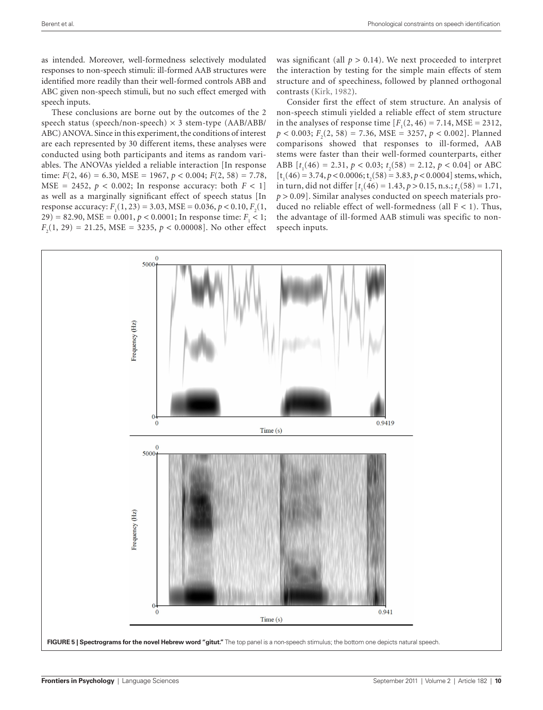as intended. Moreover, well-formedness selectively modulated responses to non-speech stimuli: ill-formed AAB structures were identified more readily than their well-formed controls ABB and ABC given non-speech stimuli, but no such effect emerged with speech inputs.

These conclusions are borne out by the outcomes of the 2 speech status (speech/non-speech)  $\times$  3 stem-type (AAB/ABB/ ABC) ANOVA. Since in this experiment, the conditions of interest are each represented by 30 different items, these analyses were conducted using both participants and items as random variables. The ANOVAs yielded a reliable interaction [In response time:  $F(2, 46) = 6.30$ , MSE = 1967,  $p < 0.004$ ;  $F(2, 58) = 7.78$ , MSE = 2452,  $p < 0.002$ ; In response accuracy: both  $F < 1$ as well as a marginally significant effect of speech status [In response accuracy:  $F_1(1, 23) = 3.03$ , MSE = 0.036,  $p < 0.10$ ,  $F_2(1, 23)$ 29) = 82.90, MSE = 0.001,  $p < 0.0001$ ; In response time:  $F<sub>1</sub> < 1$ ;  $F_2(1, 29) = 21.25$ , MSE = 3235,  $p < 0.00008$ ]. No other effect was significant (all  $p > 0.14$ ). We next proceeded to interpret the interaction by testing for the simple main effects of stem structure and of speechiness, followed by planned orthogonal contrasts (Kirk, 1982).

Consider first the effect of stem structure. An analysis of non-speech stimuli yielded a reliable effect of stem structure in the analyses of response time  $[F_1(2, 46) = 7.14, MSE = 2312,$  $p < 0.003; F_2(2, 58) = 7.36, \text{MSE} = 3257, p < 0.002$ ]. Planned comparisons showed that responses to ill-formed, AAB stems were faster than their well-formed counterparts, either ABB  $[t_1(46) = 2.31, p < 0.03; t_2(58) = 2.12, p < 0.04]$  or ABC  $[t_1(46) = 3.74, p < 0.0006; t_2(58) = 3.83, p < 0.0004]$  stems, which, in turn, did not differ  $[t_1(46) = 1.43, p > 0.15, n.s.; t_2(58) = 1.71,$ *p* > 0.09]. Similar analyses conducted on speech materials produced no reliable effect of well-formedness (all  $F < 1$ ). Thus, the advantage of ill-formed AAB stimuli was specific to nonspeech inputs.

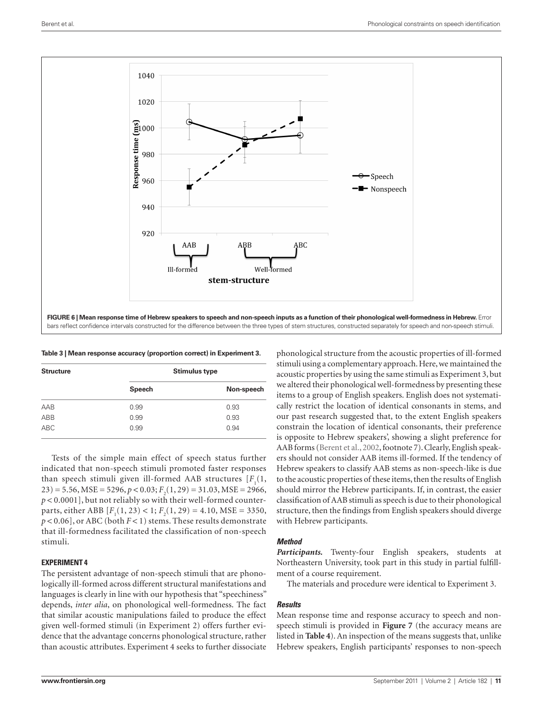

**Table 3 | Mean response accuracy (proportion correct) in Experiment 3.**

| <b>Structure</b> | <b>Stimulus type</b> |            |  |  |
|------------------|----------------------|------------|--|--|
|                  | Speech               | Non-speech |  |  |
| AAB              | 0.99                 | 0.93       |  |  |
| ABB              | 0.99                 | 0.93       |  |  |
| <b>ABC</b>       | 0.99                 | 0.94       |  |  |

Tests of the simple main effect of speech status further indicated that non-speech stimuli promoted faster responses than speech stimuli given ill-formed AAB structures  $[F_1(1,$  $23$ ) = 5.56, MSE = 5296,  $p < 0.03$ ;  $F<sub>2</sub>(1, 29) = 31.03$ , MSE = 2966, *p* < 0.0001], but not reliably so with their well-formed counterparts, either ABB  $[F_1(1, 23) < 1; F_2(1, 29) = 4.10$ , MSE = 3350, *p* < 0.06], or ABC (both *F* < 1) stems. These results demonstrate that ill-formedness facilitated the classification of non-speech stimuli.

# **Experiment 4**

The persistent advantage of non-speech stimuli that are phonologically ill-formed across different structural manifestations and languages is clearly in line with our hypothesis that "speechiness" depends, *inter alia*, on phonological well-formedness. The fact that similar acoustic manipulations failed to produce the effect given well-formed stimuli (in Experiment 2) offers further evidence that the advantage concerns phonological structure, rather than acoustic attributes. Experiment 4 seeks to further dissociate

phonological structure from the acoustic properties of ill-formed stimuli using a complementary approach. Here, we maintained the acoustic properties by using the same stimuli as Experiment 3, but we altered their phonological well-formedness by presenting these items to a group of English speakers. English does not systematically restrict the location of identical consonants in stems, and our past research suggested that, to the extent English speakers constrain the location of identical consonants, their preference is opposite to Hebrew speakers', showing a slight preference for AAB forms (Berent et al., 2002, footnote 7). Clearly, English speakers should not consider AAB items ill-formed. If the tendency of Hebrew speakers to classify AAB stems as non-speech-like is due to the acoustic properties of these items, then the results of English should mirror the Hebrew participants. If, in contrast, the easier classification of AAB stimuli as speech is due to their phonological structure, then the findings from English speakers should diverge with Hebrew participants.

# *Method*

*Participants.* Twenty-four English speakers, students at Northeastern University, took part in this study in partial fulfillment of a course requirement.

The materials and procedure were identical to Experiment 3.

# *Results*

Mean response time and response accuracy to speech and nonspeech stimuli is provided in **Figure 7** (the accuracy means are listed in **Table 4**). An inspection of the means suggests that, unlike Hebrew speakers, English participants' responses to non-speech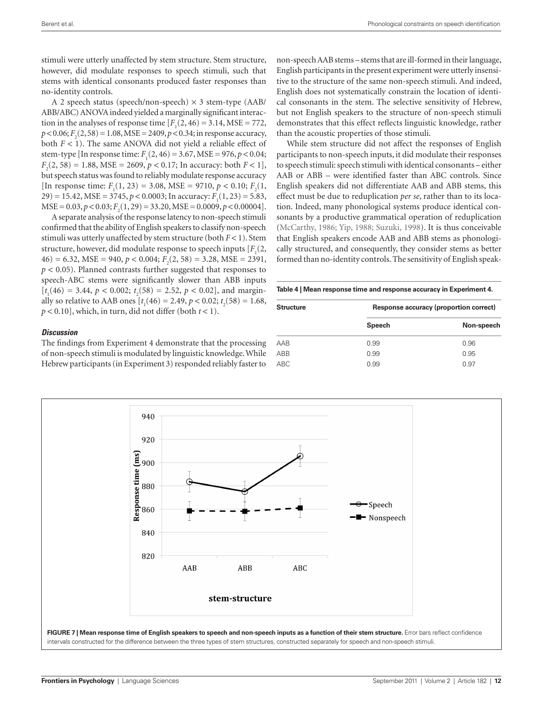stimuli were utterly unaffected by stem structure. Stem structure, however, did modulate responses to speech stimuli, such that stems with identical consonants produced faster responses than no-identity controls.

A 2 speech status (speech/non-speech) × 3 stem-type (AAB/ ABB/ABC) ANOVA indeed yielded a marginally significant interaction in the analyses of response time  $[F_1(2, 46) = 3.14, \text{MSE} = 772,$  $p < 0.06; F_2(2, 58) = 1.08, \text{MSE} = 2409, p < 0.34; \text{ in response accuracy},$ both *F* < 1). The same ANOVA did not yield a reliable effect of stem-type [In response time:  $F_1(2, 46) = 3.67$ , MSE = 976,  $p < 0.04$ ;  $F_2(2, 58) = 1.88$ , MSE = 2609,  $p < 0.17$ ; In accuracy: both  $F < 1$ ], but speech status was found to reliably modulate response accuracy [In response time:  $F_1(1, 23) = 3.08$ , MSE = 9710,  $p < 0.10$ ;  $F_2(1, 23) = 3.08$  $29$ ) = 15.42, MSE = 3745,  $p < 0.0003$ ; In accuracy:  $F_1(1, 23) = 5.83$ ,  $MSE = 0.03, p < 0.03; F_2(1, 29) = 33.20, MSE = 0.0009, p < 0.00004$ .

A separate analysis of the response latency to non-speech stimuli confirmed that the ability of English speakers to classify non-speech stimuli was utterly unaffected by stem structure (both *F* < 1). Stem structure, however, did modulate response to speech inputs  $[F_1(2, \cdot)]$  $46$ ) = 6.32, MSE = 940,  $p < 0.004$ ;  $F<sub>2</sub>(2, 58) = 3.28$ , MSE = 2391, *p* < 0.05). Planned contrasts further suggested that responses to speech-ABC stems were significantly slower than ABB inputs  $[t_1(46) = 3.44, p < 0.002; t_2(58) = 2.52, p < 0.02]$ , and marginally so relative to AAB ones  $[t_1(46) = 2.49, p < 0.02; t_2(58) = 1.68,$ *p* < 0.10], which, in turn, did not differ (both *t* < 1).

non-speech AAB stems – stems that are ill-formed in their language, English participants in the present experiment were utterly insensitive to the structure of the same non-speech stimuli. And indeed, English does not systematically constrain the location of identical consonants in the stem. The selective sensitivity of Hebrew, but not English speakers to the structure of non-speech stimuli demonstrates that this effect reflects linguistic knowledge, rather than the acoustic properties of those stimuli.

While stem structure did not affect the responses of English participants to non-speech inputs, it did modulate their responses to speech stimuli: speech stimuli with identical consonants – either AAB or ABB – were identified faster than ABC controls. Since English speakers did not differentiate AAB and ABB stems, this effect must be due to reduplication *per se*, rather than to its location. Indeed, many phonological systems produce identical consonants by a productive grammatical operation of reduplication (McCarthy, 1986; Yip, 1988; Suzuki, 1998). It is thus conceivable that English speakers encode AAB and ABB stems as phonologically structured, and consequently, they consider stems as better formed than no-identity controls. The sensitivity of English speak-

**Table 4 | Mean response time and response accuracy in Experiment 4. Structure Response accuracy (proportion correct)** 

AAB 0.99 0.96 ABB 0.99 0.99 ABC 0.99 0.97

**Speech Non-speech**

# *Discussion*

The findings from Experiment 4 demonstrate that the processing of non-speech stimuli is modulated by linguistic knowledge. While Hebrew participants (in Experiment 3) responded reliably faster to

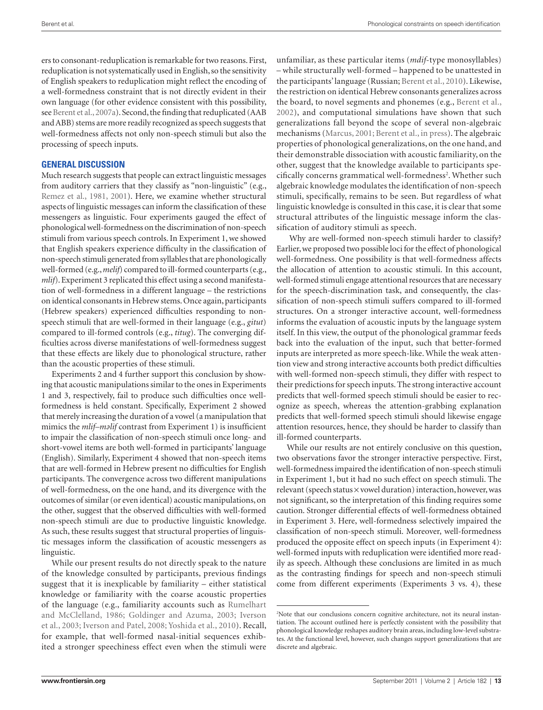ers to consonant-reduplication is remarkable for two reasons. First, reduplication is not systematically used in English, so the sensitivity of English speakers to reduplication might reflect the encoding of a well-formedness constraint that is not directly evident in their own language (for other evidence consistent with this possibility, see Berent et al., 2007a). Second, the finding that reduplicated (AAB and ABB) stems are more readily recognized as speech suggests that well-formedness affects not only non-speech stimuli but also the processing of speech inputs.

# **GENERAL DISCUSSION**

Much research suggests that people can extract linguistic messages from auditory carriers that they classify as "non-linguistic" (e.g., Remez et al., 1981, 2001). Here, we examine whether structural aspects of linguistic messages can inform the classification of these messengers as linguistic. Four experiments gauged the effect of phonological well-formedness on the discrimination of non-speech stimuli from various speech controls. In Experiment 1, we showed that English speakers experience difficulty in the classification of non-speech stimuli generated from syllables that are phonologically well-formed (e.g., *melif*) compared to ill-formed counterparts (e.g., *mlif*). Experiment 3 replicated this effect using a second manifestation of well-formedness in a different language – the restrictions on identical consonants in Hebrew stems. Once again, participants (Hebrew speakers) experienced difficulties responding to nonspeech stimuli that are well-formed in their language (e.g., *gitut*) compared to ill-formed controls (e.g., *titug*). The converging difficulties across diverse manifestations of well-formedness suggest that these effects are likely due to phonological structure, rather than the acoustic properties of these stimuli.

Experiments 2 and 4 further support this conclusion by showing that acoustic manipulations similar to the ones in Experiments 1 and 3, respectively, fail to produce such difficulties once wellformedness is held constant. Specifically, Experiment 2 showed that merely increasing the duration of a vowel (a manipulation that mimics the *mlif-malif* contrast from Experiment 1) is insufficient to impair the classification of non-speech stimuli once long- and short-vowel items are both well-formed in participants' language (English). Similarly, Experiment 4 showed that non-speech items that are well-formed in Hebrew present no difficulties for English participants. The convergence across two different manipulations of well-formedness, on the one hand, and its divergence with the outcomes of similar (or even identical) acoustic manipulations, on the other, suggest that the observed difficulties with well-formed non-speech stimuli are due to productive linguistic knowledge. As such, these results suggest that structural properties of linguistic messages inform the classification of acoustic messengers as linguistic.

While our present results do not directly speak to the nature of the knowledge consulted by participants, previous findings suggest that it is inexplicable by familiarity – either statistical knowledge or familiarity with the coarse acoustic properties of the language (e.g., familiarity accounts such as Rumelhart and McClelland, 1986; Goldinger and Azuma, 2003; Iverson et al., 2003; Iverson and Patel, 2008; Yoshida et al., 2010). Recall, for example, that well-formed nasal-initial sequences exhibited a stronger speechiness effect even when the stimuli were

unfamiliar, as these particular items (*mdif*-type monosyllables) – while structurally well-formed – happened to be unattested in the participants' language (Russian; Berent et al., 2010). Likewise, the restriction on identical Hebrew consonants generalizes across the board, to novel segments and phonemes (e.g., Berent et al., 2002), and computational simulations have shown that such generalizations fall beyond the scope of several non-algebraic mechanisms (Marcus, 2001; Berent et al., in press). The algebraic properties of phonological generalizations, on the one hand, and their demonstrable dissociation with acoustic familiarity, on the other, suggest that the knowledge available to participants specifically concerns grammatical well-formedness<sup>2</sup>. Whether such algebraic knowledge modulates the identification of non-speech stimuli, specifically, remains to be seen. But regardless of what linguistic knowledge is consulted in this case, it is clear that some structural attributes of the linguistic message inform the classification of auditory stimuli as speech.

 Why are well-formed non-speech stimuli harder to classify? Earlier, we proposed two possible loci for the effect of phonological well-formedness. One possibility is that well-formedness affects the allocation of attention to acoustic stimuli. In this account, well-formed stimuli engage attentional resources that are necessary for the speech-discrimination task, and consequently, the classification of non-speech stimuli suffers compared to ill-formed structures. On a stronger interactive account, well-formedness informs the evaluation of acoustic inputs by the language system itself. In this view, the output of the phonological grammar feeds back into the evaluation of the input, such that better-formed inputs are interpreted as more speech-like. While the weak attention view and strong interactive accounts both predict difficulties with well-formed non-speech stimuli, they differ with respect to their predictions for speech inputs. The strong interactive account predicts that well-formed speech stimuli should be easier to recognize as speech, whereas the attention-grabbing explanation predicts that well-formed speech stimuli should likewise engage attention resources, hence, they should be harder to classify than ill-formed counterparts.

While our results are not entirely conclusive on this question, two observations favor the stronger interactive perspective. First, well-formedness impaired the identification of non-speech stimuli in Experiment 1, but it had no such effect on speech stimuli. The relevant (speech status × vowel duration) interaction, however, was not significant, so the interpretation of this finding requires some caution. Stronger differential effects of well-formedness obtained in Experiment 3. Here, well-formedness selectively impaired the classification of non-speech stimuli. Moreover, well-formedness produced the opposite effect on speech inputs (in Experiment 4): well-formed inputs with reduplication were identified more readily as speech. Although these conclusions are limited in as much as the contrasting findings for speech and non-speech stimuli come from different experiments (Experiments 3 vs. 4), these

<sup>2</sup> Note that our conclusions concern cognitive architecture, not its neural instantiation. The account outlined here is perfectly consistent with the possibility that phonological knowledge reshapes auditory brain areas, including low-level substrates. At the functional level, however, such changes support generalizations that are discrete and algebraic.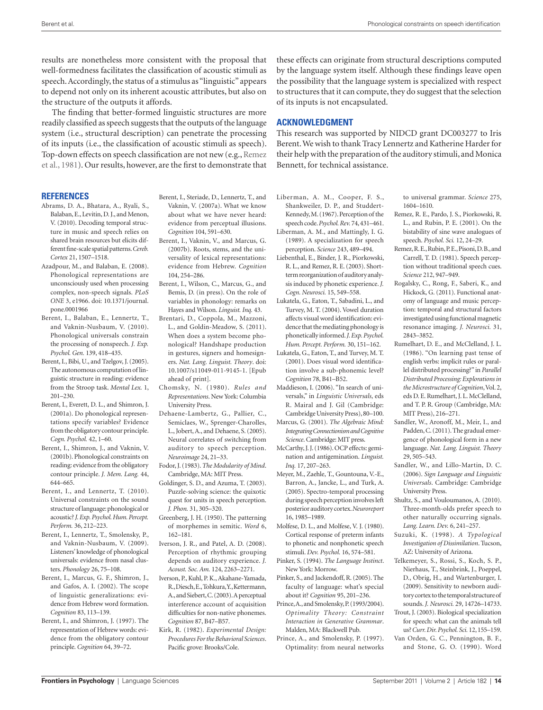results are nonetheless more consistent with the proposal that well-formedness facilitates the classification of acoustic stimuli as speech. Accordingly, the status of a stimulus as "linguistic" appears to depend not only on its inherent acoustic attributes, but also on the structure of the outputs it affords.

The finding that better-formed linguistic structures are more readily classified as speech suggests that the outputs of the language system (i.e., structural description) can penetrate the processing of its inputs (i.e., the classification of acoustic stimuli as speech). Top-down effects on speech classification are not new (e.g., Remez et al., 1981). Our results, however, are the first to demonstrate that

these effects can originate from structural descriptions computed by the language system itself. Although these findings leave open the possibility that the language system is specialized with respect to structures that it can compute, they do suggest that the selection of its inputs is not encapsulated.

### **Acknowledgment**

This research was supported by NIDCD grant DC003277 to Iris Berent. We wish to thank Tracy Lennertz and Katherine Harder for their help with the preparation of the auditory stimuli, and Monica Bennett, for technical assistance.

#### **References**

- Abrams, D. A., Bhatara, A., Ryali, S., Balaban, E., Levitin, D. J., and Menon, V. (2010). Decoding temporal structure in music and speech relies on shared brain resources but elicits different fine-scale spatial patterns. *Cereb. Cortex* 21, 1507–1518.
- Azadpour, M., and Balaban, E. (2008). Phonological representations are unconsciously used when processing complex, non-speech signals. *PLoS ONE* 3, e1966. doi: 10.1371/journal. pone.0001966
- Berent, I., Balaban, E., Lennertz, T., and Vaknin-Nusbaum, V. (2010). Phonological universals constrain the processing of nonspeech. *J. Exp. Psychol. Gen.* 139, 418–435.
- Berent, I., Bibi, U., and Tzelgov, J. (2005). The autonomous computation of linguistic structure in reading: evidence from the Stroop task. *Mental Lex.* 1, 201–230.
- Berent, I., Everett, D. L., and Shimron, J. (2001a). Do phonological representations specify variables? Evidence from the obligatory contour principle. *Cogn. Psychol.* 42, 1–60.
- Berent, I., Shimron, J., and Vaknin, V. (2001b). Phonological constraints on reading: evidence from the obligatory contour principle. *J. Mem. Lang.* 44, 644–665.
- Berent, I., and Lennertz, T. (2010). Universal constraints on the sound structure of language: phonological or acoustic? *J. Exp. Psychol. Hum. Percept. Perform.* 36, 212–223.
- Berent, I., Lennertz, T., Smolensky, P., and Vaknin-Nusbaum, V. (2009). Listeners' knowledge of phonological universals: evidence from nasal clusters. *Phonology* 26, 75–108.
- Berent, I., Marcus, G. F., Shimron, J., and Gafos, A. I. (2002). The scope of linguistic generalizations: evidence from Hebrew word formation. *Cognition* 83, 113–139.
- Berent, I., and Shimron, J. (1997). The representation of Hebrew words: evidence from the obligatory contour principle. *Cognition* 64, 39–72.
- Berent, I., Steriade, D., Lennertz, T., and Vaknin, V. (2007a). What we know about what we have never heard: evidence from perceptual illusions. *Cognition* 104, 591–630.
- Berent, I., Vaknin, V., and Marcus, G. (2007b). Roots, stems, and the universality of lexical representations: evidence from Hebrew. *Cognition*  104, 254–286.
- Berent, I., Wilson, C., Marcus, G., and Bemis, D. (in press). On the role of variables in phonology: remarks on Hayes and Wilson. *Linguist. Inq.* 43.
- Brentari, D., Coppola, M., Mazzoni, L., and Goldin-Meadow, S. (2011). When does a system become phonological? Handshape production in gestures, signers and homesigners. *Nat. Lang. Linguist. Theory*. doi: 10.1007/s11049-011-9145-1. [Epub ahead of print].
- Chomsky, N. (1980). *Rules and Representations*. New York: Columbia University Press.
- Dehaene-Lambertz, G., Pallier, C., Semiclaes, W., Sprenger-Charolles, L., Jobert, A., and Dehaene, S. (2005). Neural correlates of switching from auditory to speech perception. *Neuroimage* 24, 21–33.
- Fodor, J. (1983). *The Modularity of Mind*. Cambridge, MA: MIT Press.
- Goldinger, S. D., and Azuma, T. (2003). Puzzle-solving science: the quixotic quest for units in speech perception. *J. Phon.* 31, 305–320.
- Greenberg, J. H. (1950). The patterning of morphemes in semitic. *Word* 6, 162–181.
- Iverson, J. R., and Patel, A. D. (2008). Perception of rhythmic grouping depends on auditory experience. *J. Acoust. Soc. Am.* 124, 2263–2271.
- Iverson, P., Kuhl, P. K., Akahane-Yamada, R., Diesch, E., Tohkura, Y., Kettermann, A., and Siebert, C. (2003). A perceptual interference account of acquisition difficulties for non-native phonemes. *Cognition* 87, B47–B57.
- Kirk, R. (1982). *Experimental Design: Procedures For the Behavioral Sciences*. Pacific grove: Brooks/Cole.
- Liberman, A. M., Cooper, F. S., Shankweiler, D. P., and Studdert-Kennedy, M. (1967). Perception of the speech code. *Psychol. Rev.* 74, 431–461.
- Liberman, A. M., and Mattingly, I. G. (1989). A specialization for speech perception. *Science* 243, 489–494.
- Liebenthal, E., Binder, J. R., Piorkowski, R. L., and Remez, R. E. (2003). Shortterm reorganization of auditory analysis induced by phonetic experience. *J. Cogn. Neurosci.* 15, 549–558.
- Lukatela, G., Eaton, T., Sabadini, L., and Turvey, M. T. (2004). Vowel duration affects visual word identification: evidence that the mediating phonology is phonetically informed. *J. Exp. Psychol. Hum. Percept. Perform.* 30, 151–162.
- Lukatela, G., Eaton, T., and Turvey, M. T. (2001). Does visual word identification involve a sub-phonemic level? *Cognition* 78, B41–B52.
- Maddieson, I. (2006). "In search of universals," in *Linguistic Universals*, eds R. Mairal and J. Gil (Cambridge: Cambridge University Press), 80–100.
- Marcus, G. (2001). *The Algebraic Mind: Integrating Connectionism and Cognitive Science*. Cambridge: MIT press.
- McCarthy, J. J. (1986). OCP effects: gemination and antigemination. *Linguist. Inq.* 17, 207–263.
- Meyer, M., Zaehle, T., Gountouna, V.-E., Barron, A., Jancke, L., and Turk, A. (2005). Spectro-temporal processing during speech perception involves left posterior auditory cortex. *Neuroreport*  16, 1985–1989.
- Molfese, D. L., and Molfese, V. J. (1980). Cortical response of preterm infants to phonetic and nonphonetic speech stimuli. *Dev. Psychol.* 16, 574–581.
- Pinker, S. (1994). *The Language Instinct*. New York: Morrow.
- Pinker, S., and Jackendoff, R. (2005). The faculty of language: what's special about it? *Cognition* 95, 201–236.
- Prince, A., and Smolensky, P. (1993/2004). *Optimality Theory: Constraint Interaction in Generative Grammar*. Malden, MA: Blackwell Pub.
- Prince, A., and Smolensky, P. (1997). Optimality: from neural networks

to universal grammar. *Science* 275, 1604–1610.

- Remez, R. E., Pardo, J. S., Piorkowski, R. L., and Rubin, P. E. (2001). On the bistability of sine wave analogues of speech. *Psychol. Sci.* 12, 24–29.
- Remez, R. E., Rubin, P. E., Pisoni, D. B., and Carrell, T. D. (1981). Speech perception without traditional speech cues. *Science* 212, 947–949.
- Rogalsky, C., Rong, F., Saberi, K., and Hickock, G. (2011). Functional anatomy of language and music perception: temporal and structural factors investigated using functional magnetic resonance imaging. *J. Neurosci.* 31, 2843–3852.
- Rumelhart, D. E., and McClelland, J. L. (1986). "On learning past tense of english verbs: implicit rules or parallel distributed processing?" in *Parallel Distributed Processing: Explorations in the Microstructure of Cognition*, Vol. 2, eds D. E. Rumelhart, J. L. McClelland, and T. P. R. Group (Cambridge, MA: MIT Press), 216–271.
- Sandler, W., Aronoff, M., Meir, I., and Padden, C. (2011). The gradual emergence of phonological form in a new language. *Nat. Lang. Linguist. Theory*  29, 505–543.
- Sandler, W., and Lillo-Martin, D. C. (2006). *Sign Language and Linguistic Universals*. Cambridge: Cambridge University Press.
- Shultz, S., and Vouloumanos, A. (2010). Three-month-olds prefer speech to other naturally occurring signals. *Lang. Learn. Dev.* 6, 241–257.
- Suzuki, K. (1998). *A Typological Investigation of Dissimilation*. Tucson, AZ: University of Arizona.
- Telkemeyer, S., Rossi, S., Koch, S. P., Nierhaus, T., Steinbrink, J., Poeppel, D., Obrig, H., and Wartenburger, I. (2009). Sensitivity to newborn auditory cortex to the temporal structure of sounds. *J. Neurosci.* 29, 14726–14733.
- Trout, J. (2003). Biological specialization for speech: what can the animals tell us? *Curr. Dir. Psychol. Sci.* 12, 155–159. Van Orden, G. C., Pennington, B. F.,
- and Stone, G. O. (1990). Word